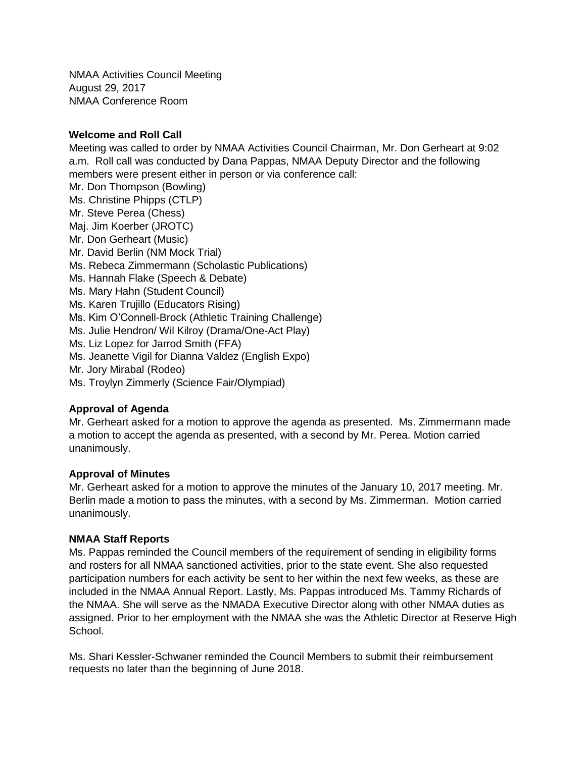NMAA Activities Council Meeting August 29, 2017 NMAA Conference Room

## **Welcome and Roll Call**

Meeting was called to order by NMAA Activities Council Chairman, Mr. Don Gerheart at 9:02 a.m. Roll call was conducted by Dana Pappas, NMAA Deputy Director and the following members were present either in person or via conference call: Mr. Don Thompson (Bowling) Ms. Christine Phipps (CTLP) Mr. Steve Perea (Chess) Maj. Jim Koerber (JROTC) Mr. Don Gerheart (Music) Mr. David Berlin (NM Mock Trial) Ms. Rebeca Zimmermann (Scholastic Publications) Ms. Hannah Flake (Speech & Debate) Ms. Mary Hahn (Student Council) Ms. Karen Trujillo (Educators Rising) Ms. Kim O'Connell-Brock (Athletic Training Challenge) Ms. Julie Hendron/ Wil Kilroy (Drama/One-Act Play) Ms. Liz Lopez for Jarrod Smith (FFA) Ms. Jeanette Vigil for Dianna Valdez (English Expo) Mr. Jory Mirabal (Rodeo) Ms. Troylyn Zimmerly (Science Fair/Olympiad)

## **Approval of Agenda**

Mr. Gerheart asked for a motion to approve the agenda as presented. Ms. Zimmermann made a motion to accept the agenda as presented, with a second by Mr. Perea. Motion carried unanimously.

## **Approval of Minutes**

Mr. Gerheart asked for a motion to approve the minutes of the January 10, 2017 meeting. Mr. Berlin made a motion to pass the minutes, with a second by Ms. Zimmerman. Motion carried unanimously.

#### **NMAA Staff Reports**

Ms. Pappas reminded the Council members of the requirement of sending in eligibility forms and rosters for all NMAA sanctioned activities, prior to the state event. She also requested participation numbers for each activity be sent to her within the next few weeks, as these are included in the NMAA Annual Report. Lastly, Ms. Pappas introduced Ms. Tammy Richards of the NMAA. She will serve as the NMADA Executive Director along with other NMAA duties as assigned. Prior to her employment with the NMAA she was the Athletic Director at Reserve High School.

Ms. Shari Kessler-Schwaner reminded the Council Members to submit their reimbursement requests no later than the beginning of June 2018.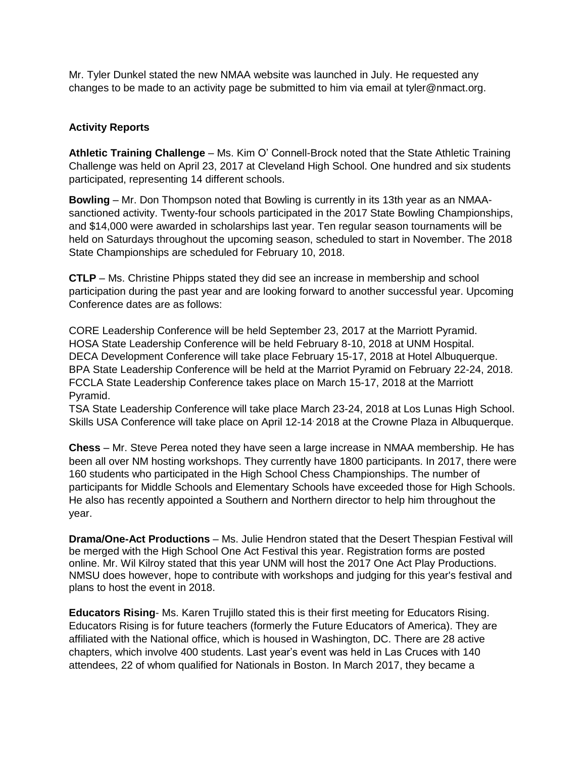Mr. Tyler Dunkel stated the new NMAA website was launched in July. He requested any changes to be made to an activity page be submitted to him via email at tyler@nmact.org.

# **Activity Reports**

**Athletic Training Challenge** – Ms. Kim O' Connell-Brock noted that the State Athletic Training Challenge was held on April 23, 2017 at Cleveland High School. One hundred and six students participated, representing 14 different schools.

**Bowling** – Mr. Don Thompson noted that Bowling is currently in its 13th year as an NMAAsanctioned activity. Twenty-four schools participated in the 2017 State Bowling Championships, and \$14,000 were awarded in scholarships last year. Ten regular season tournaments will be held on Saturdays throughout the upcoming season, scheduled to start in November. The 2018 State Championships are scheduled for February 10, 2018.

**CTLP** – Ms. Christine Phipps stated they did see an increase in membership and school participation during the past year and are looking forward to another successful year. Upcoming Conference dates are as follows:

CORE Leadership Conference will be held September 23, 2017 at the Marriott Pyramid. HOSA State Leadership Conference will be held February 8-10, 2018 at UNM Hospital. DECA Development Conference will take place February 15-17, 2018 at Hotel Albuquerque. BPA State Leadership Conference will be held at the Marriot Pyramid on February 22-24, 2018. FCCLA State Leadership Conference takes place on March 15-17, 2018 at the Marriott Pyramid.

TSA State Leadership Conference will take place March 23-24, 2018 at Los Lunas High School. Skills USA Conference will take place on April 12-14, 2018 at the Crowne Plaza in Albuquerque.

**Chess** – Mr. Steve Perea noted they have seen a large increase in NMAA membership. He has been all over NM hosting workshops. They currently have 1800 participants. In 2017, there were 160 students who participated in the High School Chess Championships. The number of participants for Middle Schools and Elementary Schools have exceeded those for High Schools. He also has recently appointed a Southern and Northern director to help him throughout the year.

**Drama/One-Act Productions** – Ms. Julie Hendron stated that the Desert Thespian Festival will be merged with the High School One Act Festival this year. Registration forms are posted online. Mr. Wil Kilroy stated that this year UNM will host the 2017 One Act Play Productions. NMSU does however, hope to contribute with workshops and judging for this year's festival and plans to host the event in 2018.

**Educators Rising**- Ms. Karen Trujillo stated this is their first meeting for Educators Rising. Educators Rising is for future teachers (formerly the Future Educators of America). They are affiliated with the National office, which is housed in Washington, DC. There are 28 active chapters, which involve 400 students. Last year's event was held in Las Cruces with 140 attendees, 22 of whom qualified for Nationals in Boston. In March 2017, they became a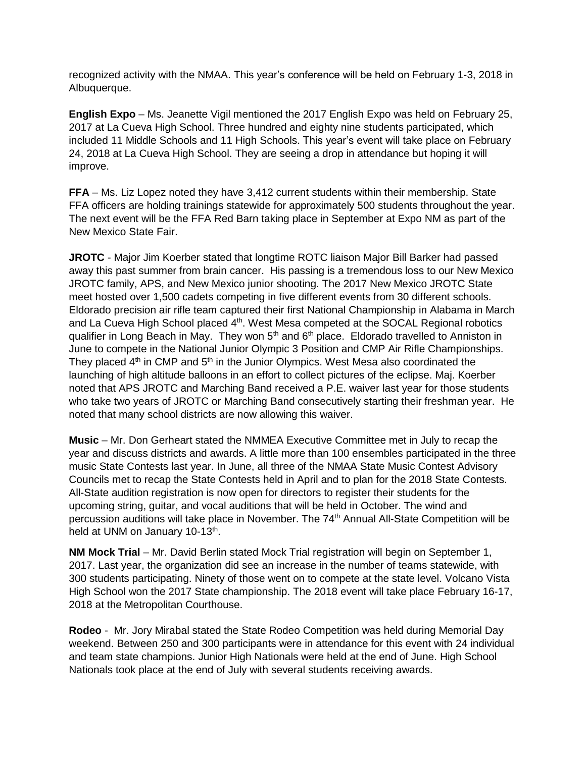recognized activity with the NMAA. This year's conference will be held on February 1-3, 2018 in Albuquerque.

**English Expo** – Ms. Jeanette Vigil mentioned the 2017 English Expo was held on February 25, 2017 at La Cueva High School. Three hundred and eighty nine students participated, which included 11 Middle Schools and 11 High Schools. This year's event will take place on February 24, 2018 at La Cueva High School. They are seeing a drop in attendance but hoping it will improve.

**FFA** – Ms. Liz Lopez noted they have 3,412 current students within their membership. State FFA officers are holding trainings statewide for approximately 500 students throughout the year. The next event will be the FFA Red Barn taking place in September at Expo NM as part of the New Mexico State Fair.

**JROTC** - Major Jim Koerber stated that longtime ROTC liaison Major Bill Barker had passed away this past summer from brain cancer. His passing is a tremendous loss to our New Mexico JROTC family, APS, and New Mexico junior shooting. The 2017 New Mexico JROTC State meet hosted over 1,500 cadets competing in five different events from 30 different schools. Eldorado precision air rifle team captured their first National Championship in Alabama in March and La Cueva High School placed 4<sup>th</sup>. West Mesa competed at the SOCAL Regional robotics qualifier in Long Beach in May. They won  $5<sup>th</sup>$  and  $6<sup>th</sup>$  place. Eldorado travelled to Anniston in June to compete in the National Junior Olympic 3 Position and CMP Air Rifle Championships. They placed  $4<sup>th</sup>$  in CMP and  $5<sup>th</sup>$  in the Junior Olympics. West Mesa also coordinated the launching of high altitude balloons in an effort to collect pictures of the eclipse. Maj. Koerber noted that APS JROTC and Marching Band received a P.E. waiver last year for those students who take two years of JROTC or Marching Band consecutively starting their freshman year. He noted that many school districts are now allowing this waiver.

**Music** – Mr. Don Gerheart stated the NMMEA Executive Committee met in July to recap the year and discuss districts and awards. A little more than 100 ensembles participated in the three music State Contests last year. In June, all three of the NMAA State Music Contest Advisory Councils met to recap the State Contests held in April and to plan for the 2018 State Contests. All-State audition registration is now open for directors to register their students for the upcoming string, guitar, and vocal auditions that will be held in October. The wind and percussion auditions will take place in November. The 74<sup>th</sup> Annual All-State Competition will be held at UNM on January 10-13<sup>th</sup>.

**NM Mock Trial** – Mr. David Berlin stated Mock Trial registration will begin on September 1, 2017. Last year, the organization did see an increase in the number of teams statewide, with 300 students participating. Ninety of those went on to compete at the state level. Volcano Vista High School won the 2017 State championship. The 2018 event will take place February 16-17, 2018 at the Metropolitan Courthouse.

**Rodeo** - Mr. Jory Mirabal stated the State Rodeo Competition was held during Memorial Day weekend. Between 250 and 300 participants were in attendance for this event with 24 individual and team state champions. Junior High Nationals were held at the end of June. High School Nationals took place at the end of July with several students receiving awards.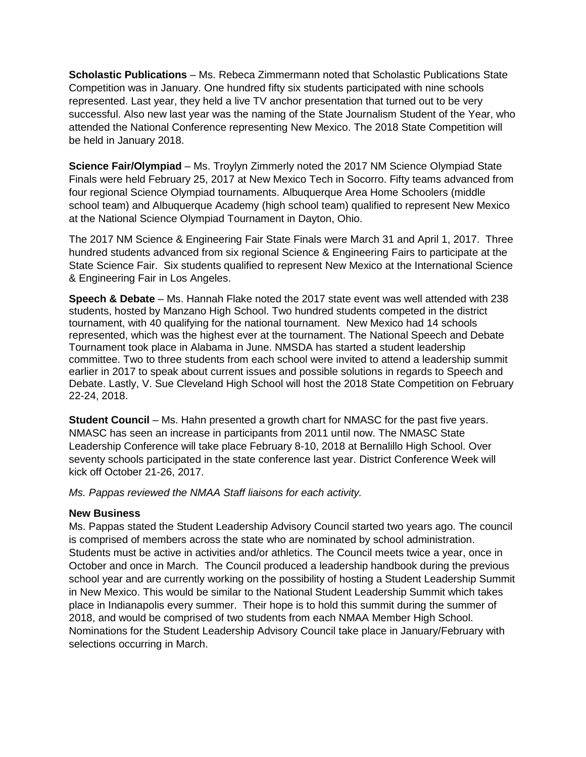**Scholastic Publications** – Ms. Rebeca Zimmermann noted that Scholastic Publications State Competition was in January. One hundred fifty six students participated with nine schools represented. Last year, they held a live TV anchor presentation that turned out to be very successful. Also new last year was the naming of the State Journalism Student of the Year, who attended the National Conference representing New Mexico. The 2018 State Competition will be held in January 2018.

**Science Fair/Olympiad** – Ms. Troylyn Zimmerly noted the 2017 NM Science Olympiad State Finals were held February 25, 2017 at New Mexico Tech in Socorro. Fifty teams advanced from four regional Science Olympiad tournaments. Albuquerque Area Home Schoolers (middle school team) and Albuquerque Academy (high school team) qualified to represent New Mexico at the National Science Olympiad Tournament in Dayton, Ohio.

The 2017 NM Science & Engineering Fair State Finals were March 31 and April 1, 2017. Three hundred students advanced from six regional Science & Engineering Fairs to participate at the State Science Fair. Six students qualified to represent New Mexico at the International Science & Engineering Fair in Los Angeles.

**Speech & Debate** – Ms. Hannah Flake noted the 2017 state event was well attended with 238 students, hosted by Manzano High School. Two hundred students competed in the district tournament, with 40 qualifying for the national tournament. New Mexico had 14 schools represented, which was the highest ever at the tournament. The National Speech and Debate Tournament took place in Alabama in June. NMSDA has started a student leadership committee. Two to three students from each school were invited to attend a leadership summit earlier in 2017 to speak about current issues and possible solutions in regards to Speech and Debate. Lastly, V. Sue Cleveland High School will host the 2018 State Competition on February 22-24, 2018.

**Student Council** – Ms. Hahn presented a growth chart for NMASC for the past five years. NMASC has seen an increase in participants from 2011 until now. The NMASC State Leadership Conference will take place February 8-10, 2018 at Bernalillo High School. Over seventy schools participated in the state conference last year. District Conference Week will kick off October 21-26, 2017.

*Ms. Pappas reviewed the NMAA Staff liaisons for each activity.*

## **New Business**

Ms. Pappas stated the Student Leadership Advisory Council started two years ago. The council is comprised of members across the state who are nominated by school administration. Students must be active in activities and/or athletics. The Council meets twice a year, once in October and once in March. The Council produced a leadership handbook during the previous school year and are currently working on the possibility of hosting a Student Leadership Summit in New Mexico. This would be similar to the National Student Leadership Summit which takes place in Indianapolis every summer. Their hope is to hold this summit during the summer of 2018, and would be comprised of two students from each NMAA Member High School. Nominations for the Student Leadership Advisory Council take place in January/February with selections occurring in March.